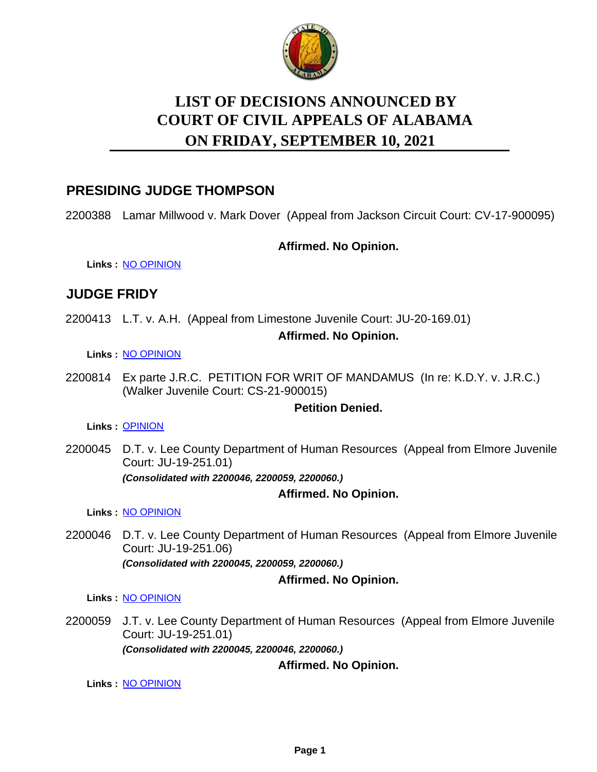

# **LIST OF DECISIONS ANNOUNCED BY ON FRIDAY, SEPTEMBER 10, 2021 COURT OF CIVIL APPEALS OF ALABAMA**

### **PRESIDING JUDGE THOMPSON**

2200388 Lamar Millwood v. Mark Dover (Appeal from Jackson Circuit Court: CV-17-900095)

#### **Affirmed. No Opinion.**

**Links :** [NO OPINION](https://acis.alabama.gov/displaydocs.cfm?no=1097226&event=6540JRRYM)

# **JUDGE FRIDY**

2200413 L.T. v. A.H. (Appeal from Limestone Juvenile Court: JU-20-169.01)

**Affirmed. No Opinion.**

#### **Links :** [NO OPINION](https://acis.alabama.gov/displaydocs.cfm?no=1097227&event=6540JRS1D)

2200814 Ex parte J.R.C. PETITION FOR WRIT OF MANDAMUS (In re: K.D.Y. v. J.R.C.) (Walker Juvenile Court: CS-21-900015)

#### **Petition Denied.**

**Links :** [OPINION](https://acis.alabama.gov/displaydocs.cfm?no=1097224&event=6540JRRFJ)

2200045 D.T. v. Lee County Department of Human Resources (Appeal from Elmore Juvenile Court: JU-19-251.01) *(Consolidated with 2200046, 2200059, 2200060.)*

#### **Affirmed. No Opinion.**

**Links :** [NO OPINION](https://acis.alabama.gov/displaydocs.cfm?no=1097225&event=6540JRRK7)

2200046 D.T. v. Lee County Department of Human Resources (Appeal from Elmore Juvenile Court: JU-19-251.06) *(Consolidated with 2200045, 2200059, 2200060.)*

**Affirmed. No Opinion.**

**Links :** [NO OPINION](https://acis.alabama.gov/displaydocs.cfm?no=1097225&event=6540JRRK7)

2200059 J.T. v. Lee County Department of Human Resources (Appeal from Elmore Juvenile Court: JU-19-251.01) *(Consolidated with 2200045, 2200046, 2200060.)*

**Affirmed. No Opinion.**

**Links :** [NO OPINION](https://acis.alabama.gov/displaydocs.cfm?no=1097225&event=6540JRRK7)